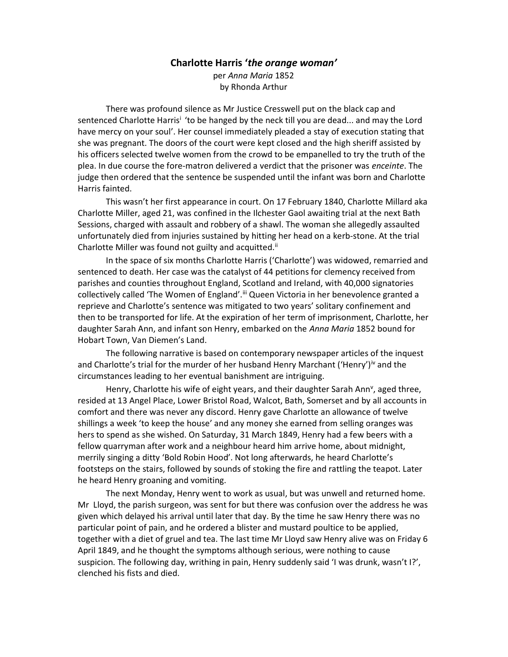# Charlotte Harris 'the orange woman'

per Anna Maria 1852 by Rhonda Arthur

 There was profound silence as Mr Justice Cresswell put on the black cap and sentenced Charlotte Harris<sup>i</sup> 'to be hanged by the neck till you are dead... and may the Lord have mercy on your soul'. Her counsel immediately pleaded a stay of execution stating that she was pregnant. The doors of the court were kept closed and the high sheriff assisted by his officers selected twelve women from the crowd to be empanelled to try the truth of the plea. In due course the fore-matron delivered a verdict that the prisoner was *enceinte*. The judge then ordered that the sentence be suspended until the infant was born and Charlotte Harris fainted.

 This wasn't her first appearance in court. On 17 February 1840, Charlotte Millard aka Charlotte Miller, aged 21, was confined in the Ilchester Gaol awaiting trial at the next Bath Sessions, charged with assault and robbery of a shawl. The woman she allegedly assaulted unfortunately died from injuries sustained by hitting her head on a kerb-stone. At the trial Charlotte Miller was found not guilty and acquitted.<sup>ii</sup>

 In the space of six months Charlotte Harris ('Charlotte') was widowed, remarried and sentenced to death. Her case was the catalyst of 44 petitions for clemency received from parishes and counties throughout England, Scotland and Ireland, with 40,000 signatories collectively called 'The Women of England'.<sup>iii</sup> Queen Victoria in her benevolence granted a reprieve and Charlotte's sentence was mitigated to two years' solitary confinement and then to be transported for life. At the expiration of her term of imprisonment, Charlotte, her daughter Sarah Ann, and infant son Henry, embarked on the Anna Maria 1852 bound for Hobart Town, Van Diemen's Land.

 The following narrative is based on contemporary newspaper articles of the inquest and Charlotte's trial for the murder of her husband Henry Marchant ('Henry')<sup>iv</sup> and the circumstances leading to her eventual banishment are intriguing.

Henry, Charlotte his wife of eight years, and their daughter Sarah Ann<sup>v</sup>, aged three, resided at 13 Angel Place, Lower Bristol Road, Walcot, Bath, Somerset and by all accounts in comfort and there was never any discord. Henry gave Charlotte an allowance of twelve shillings a week 'to keep the house' and any money she earned from selling oranges was hers to spend as she wished. On Saturday, 31 March 1849, Henry had a few beers with a fellow quarryman after work and a neighbour heard him arrive home, about midnight, merrily singing a ditty 'Bold Robin Hood'. Not long afterwards, he heard Charlotte's footsteps on the stairs, followed by sounds of stoking the fire and rattling the teapot. Later he heard Henry groaning and vomiting.

 The next Monday, Henry went to work as usual, but was unwell and returned home. Mr Lloyd, the parish surgeon, was sent for but there was confusion over the address he was given which delayed his arrival until later that day. By the time he saw Henry there was no particular point of pain, and he ordered a blister and mustard poultice to be applied, together with a diet of gruel and tea. The last time Mr Lloyd saw Henry alive was on Friday 6 April 1849, and he thought the symptoms although serious, were nothing to cause suspicion. The following day, writhing in pain, Henry suddenly said 'I was drunk, wasn't I?', clenched his fists and died.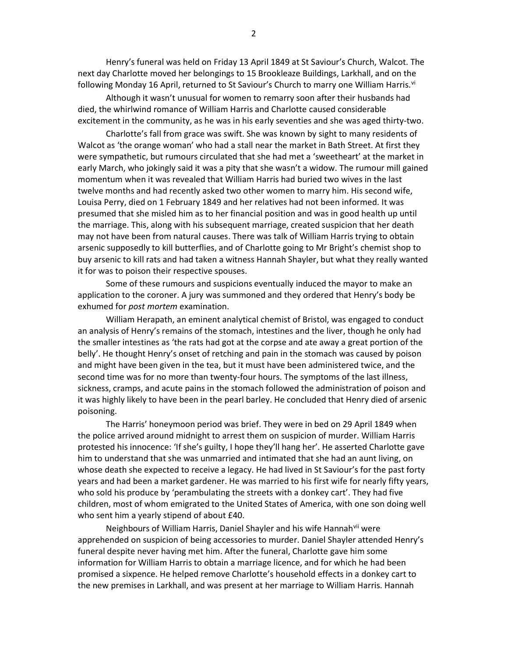Henry's funeral was held on Friday 13 April 1849 at St Saviour's Church, Walcot. The next day Charlotte moved her belongings to 15 Brookleaze Buildings, Larkhall, and on the following Monday 16 April, returned to St Saviour's Church to marry one William Harris.<sup>vi</sup>

 Although it wasn't unusual for women to remarry soon after their husbands had died, the whirlwind romance of William Harris and Charlotte caused considerable excitement in the community, as he was in his early seventies and she was aged thirty-two.

 Charlotte's fall from grace was swift. She was known by sight to many residents of Walcot as 'the orange woman' who had a stall near the market in Bath Street. At first they were sympathetic, but rumours circulated that she had met a 'sweetheart' at the market in early March, who jokingly said it was a pity that she wasn't a widow. The rumour mill gained momentum when it was revealed that William Harris had buried two wives in the last twelve months and had recently asked two other women to marry him. His second wife, Louisa Perry, died on 1 February 1849 and her relatives had not been informed. It was presumed that she misled him as to her financial position and was in good health up until the marriage. This, along with his subsequent marriage, created suspicion that her death may not have been from natural causes. There was talk of William Harris trying to obtain arsenic supposedly to kill butterflies, and of Charlotte going to Mr Bright's chemist shop to buy arsenic to kill rats and had taken a witness Hannah Shayler, but what they really wanted it for was to poison their respective spouses.

 Some of these rumours and suspicions eventually induced the mayor to make an application to the coroner. A jury was summoned and they ordered that Henry's body be exhumed for post mortem examination.

 William Herapath, an eminent analytical chemist of Bristol, was engaged to conduct an analysis of Henry's remains of the stomach, intestines and the liver, though he only had the smaller intestines as 'the rats had got at the corpse and ate away a great portion of the belly'. He thought Henry's onset of retching and pain in the stomach was caused by poison and might have been given in the tea, but it must have been administered twice, and the second time was for no more than twenty-four hours. The symptoms of the last illness, sickness, cramps, and acute pains in the stomach followed the administration of poison and it was highly likely to have been in the pearl barley. He concluded that Henry died of arsenic poisoning.

 The Harris' honeymoon period was brief. They were in bed on 29 April 1849 when the police arrived around midnight to arrest them on suspicion of murder. William Harris protested his innocence: 'If she's guilty, I hope they'll hang her'. He asserted Charlotte gave him to understand that she was unmarried and intimated that she had an aunt living, on whose death she expected to receive a legacy. He had lived in St Saviour's for the past forty years and had been a market gardener. He was married to his first wife for nearly fifty years, who sold his produce by 'perambulating the streets with a donkey cart'. They had five children, most of whom emigrated to the United States of America, with one son doing well who sent him a yearly stipend of about £40.

Neighbours of William Harris, Daniel Shayler and his wife Hannah<sup>vii</sup> were apprehended on suspicion of being accessories to murder. Daniel Shayler attended Henry's funeral despite never having met him. After the funeral, Charlotte gave him some information for William Harris to obtain a marriage licence, and for which he had been promised a sixpence. He helped remove Charlotte's household effects in a donkey cart to the new premises in Larkhall, and was present at her marriage to William Harris. Hannah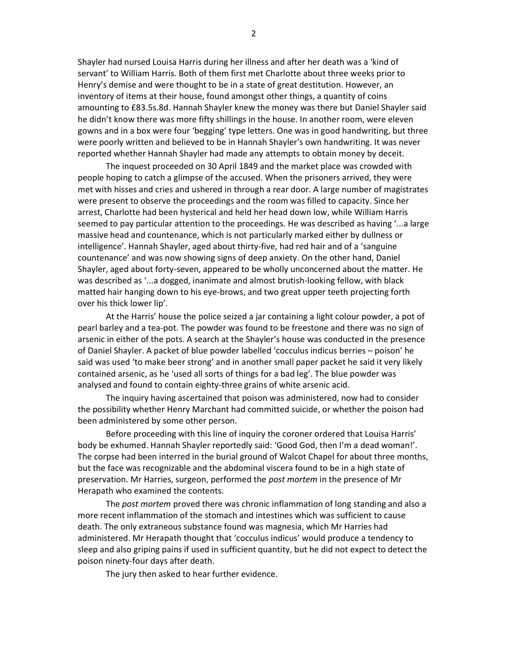Shayler had nursed Louisa Harris during her illness and after her death was a 'kind of servant' to William Harris. Both of them first met Charlotte about three weeks prior to Henry's demise and were thought to be in a state of great destitution. However, an inventory of items at their house, found amongst other things, a quantity of coins amounting to £83.5s.8d. Hannah Shayler knew the money was there but Daniel Shayler said he didn't know there was more fifty shillings in the house. In another room, were eleven gowns and in a box were four 'begging' type letters. One was in good handwriting, but three were poorly written and believed to be in Hannah Shayler's own handwriting. It was never reported whether Hannah Shayler had made any attempts to obtain money by deceit.

 The inquest proceeded on 30 April 1849 and the market place was crowded with people hoping to catch a glimpse of the accused. When the prisoners arrived, they were met with hisses and cries and ushered in through a rear door. A large number of magistrates were present to observe the proceedings and the room was filled to capacity. Since her arrest, Charlotte had been hysterical and held her head down low, while William Harris seemed to pay particular attention to the proceedings. He was described as having '...a large massive head and countenance, which is not particularly marked either by dullness or intelligence'. Hannah Shayler, aged about thirty-five, had red hair and of a 'sanguine countenance' and was now showing signs of deep anxiety. On the other hand, Daniel Shayler, aged about forty-seven, appeared to be wholly unconcerned about the matter. He was described as '...a dogged, inanimate and almost brutish-looking fellow, with black matted hair hanging down to his eye-brows, and two great upper teeth projecting forth over his thick lower lip'.

 At the Harris' house the police seized a jar containing a light colour powder, a pot of pearl barley and a tea-pot. The powder was found to be freestone and there was no sign of arsenic in either of the pots. A search at the Shayler's house was conducted in the presence of Daniel Shayler. A packet of blue powder labelled 'cocculus indicus berries – poison' he said was used 'to make beer strong' and in another small paper packet he said it very likely contained arsenic, as he 'used all sorts of things for a bad leg'. The blue powder was analysed and found to contain eighty-three grains of white arsenic acid.

 The inquiry having ascertained that poison was administered, now had to consider the possibility whether Henry Marchant had committed suicide, or whether the poison had been administered by some other person.

Before proceeding with this line of inquiry the coroner ordered that Louisa Harris' body be exhumed. Hannah Shayler reportedly said: 'Good God, then I'm a dead woman!'. The corpse had been interred in the burial ground of Walcot Chapel for about three months, but the face was recognizable and the abdominal viscera found to be in a high state of preservation. Mr Harries, surgeon, performed the post mortem in the presence of Mr Herapath who examined the contents.

The post mortem proved there was chronic inflammation of long standing and also a more recent inflammation of the stomach and intestines which was sufficient to cause death. The only extraneous substance found was magnesia, which Mr Harries had administered. Mr Herapath thought that 'cocculus indicus' would produce a tendency to sleep and also griping pains if used in sufficient quantity, but he did not expect to detect the poison ninety-four days after death.

The jury then asked to hear further evidence.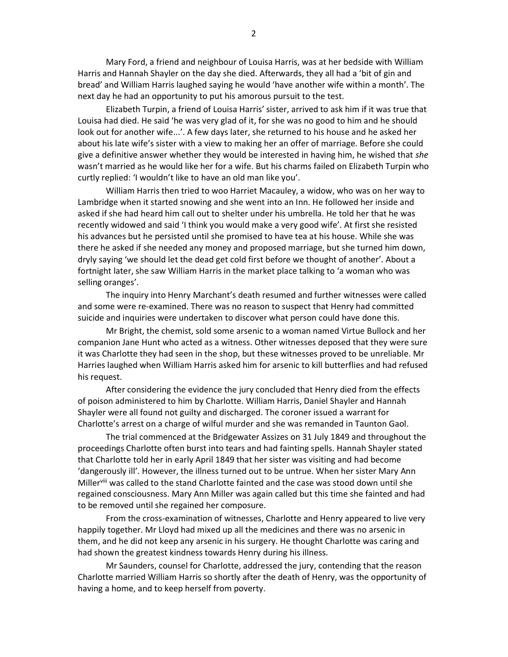Mary Ford, a friend and neighbour of Louisa Harris, was at her bedside with William Harris and Hannah Shayler on the day she died. Afterwards, they all had a 'bit of gin and bread' and William Harris laughed saying he would 'have another wife within a month'. The next day he had an opportunity to put his amorous pursuit to the test.

 Elizabeth Turpin, a friend of Louisa Harris' sister, arrived to ask him if it was true that Louisa had died. He said 'he was very glad of it, for she was no good to him and he should look out for another wife...'. A few days later, she returned to his house and he asked her about his late wife's sister with a view to making her an offer of marriage. Before she could give a definitive answer whether they would be interested in having him, he wished that she wasn't married as he would like her for a wife. But his charms failed on Elizabeth Turpin who curtly replied: 'I wouldn't like to have an old man like you'.

 William Harris then tried to woo Harriet Macauley, a widow, who was on her way to Lambridge when it started snowing and she went into an Inn. He followed her inside and asked if she had heard him call out to shelter under his umbrella. He told her that he was recently widowed and said 'I think you would make a very good wife'. At first she resisted his advances but he persisted until she promised to have tea at his house. While she was there he asked if she needed any money and proposed marriage, but she turned him down, dryly saying 'we should let the dead get cold first before we thought of another'. About a fortnight later, she saw William Harris in the market place talking to 'a woman who was selling oranges'.

 The inquiry into Henry Marchant's death resumed and further witnesses were called and some were re-examined. There was no reason to suspect that Henry had committed suicide and inquiries were undertaken to discover what person could have done this.

 Mr Bright, the chemist, sold some arsenic to a woman named Virtue Bullock and her companion Jane Hunt who acted as a witness. Other witnesses deposed that they were sure it was Charlotte they had seen in the shop, but these witnesses proved to be unreliable. Mr Harries laughed when William Harris asked him for arsenic to kill butterflies and had refused his request.

 After considering the evidence the jury concluded that Henry died from the effects of poison administered to him by Charlotte. William Harris, Daniel Shayler and Hannah Shayler were all found not guilty and discharged. The coroner issued a warrant for Charlotte's arrest on a charge of wilful murder and she was remanded in Taunton Gaol.

 The trial commenced at the Bridgewater Assizes on 31 July 1849 and throughout the proceedings Charlotte often burst into tears and had fainting spells. Hannah Shayler stated that Charlotte told her in early April 1849 that her sister was visiting and had become 'dangerously ill'. However, the illness turned out to be untrue. When her sister Mary Ann Miller<sup>viii</sup> was called to the stand Charlotte fainted and the case was stood down until she regained consciousness. Mary Ann Miller was again called but this time she fainted and had to be removed until she regained her composure.

From the cross-examination of witnesses, Charlotte and Henry appeared to live very happily together. Mr Lloyd had mixed up all the medicines and there was no arsenic in them, and he did not keep any arsenic in his surgery. He thought Charlotte was caring and had shown the greatest kindness towards Henry during his illness.

 Mr Saunders, counsel for Charlotte, addressed the jury, contending that the reason Charlotte married William Harris so shortly after the death of Henry, was the opportunity of having a home, and to keep herself from poverty.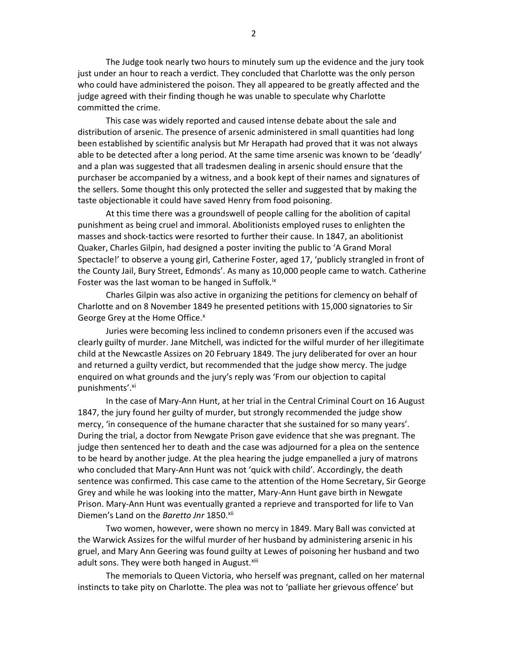The Judge took nearly two hours to minutely sum up the evidence and the jury took just under an hour to reach a verdict. They concluded that Charlotte was the only person who could have administered the poison. They all appeared to be greatly affected and the judge agreed with their finding though he was unable to speculate why Charlotte committed the crime.

 This case was widely reported and caused intense debate about the sale and distribution of arsenic. The presence of arsenic administered in small quantities had long been established by scientific analysis but Mr Herapath had proved that it was not always able to be detected after a long period. At the same time arsenic was known to be 'deadly' and a plan was suggested that all tradesmen dealing in arsenic should ensure that the purchaser be accompanied by a witness, and a book kept of their names and signatures of the sellers. Some thought this only protected the seller and suggested that by making the taste objectionable it could have saved Henry from food poisoning.

 At this time there was a groundswell of people calling for the abolition of capital punishment as being cruel and immoral. Abolitionists employed ruses to enlighten the masses and shock-tactics were resorted to further their cause. In 1847, an abolitionist Quaker, Charles Gilpin, had designed a poster inviting the public to 'A Grand Moral Spectacle!' to observe a young girl, Catherine Foster, aged 17, 'publicly strangled in front of the County Jail, Bury Street, Edmonds'. As many as 10,000 people came to watch. Catherine Foster was the last woman to be hanged in Suffolk.<sup>ix</sup>

 Charles Gilpin was also active in organizing the petitions for clemency on behalf of Charlotte and on 8 November 1849 he presented petitions with 15,000 signatories to Sir George Grey at the Home Office.<sup>x</sup>

 Juries were becoming less inclined to condemn prisoners even if the accused was clearly guilty of murder. Jane Mitchell, was indicted for the wilful murder of her illegitimate child at the Newcastle Assizes on 20 February 1849. The jury deliberated for over an hour and returned a guilty verdict, but recommended that the judge show mercy. The judge enquired on what grounds and the jury's reply was 'From our objection to capital punishments'.xi

 In the case of Mary-Ann Hunt, at her trial in the Central Criminal Court on 16 August 1847, the jury found her guilty of murder, but strongly recommended the judge show mercy, 'in consequence of the humane character that she sustained for so many years'. During the trial, a doctor from Newgate Prison gave evidence that she was pregnant. The judge then sentenced her to death and the case was adjourned for a plea on the sentence to be heard by another judge. At the plea hearing the judge empanelled a jury of matrons who concluded that Mary-Ann Hunt was not 'quick with child'. Accordingly, the death sentence was confirmed. This case came to the attention of the Home Secretary, Sir George Grey and while he was looking into the matter, Mary-Ann Hunt gave birth in Newgate Prison. Mary-Ann Hunt was eventually granted a reprieve and transported for life to Van Diemen's Land on the Baretto Jnr 1850.xii

 Two women, however, were shown no mercy in 1849. Mary Ball was convicted at the Warwick Assizes for the wilful murder of her husband by administering arsenic in his gruel, and Mary Ann Geering was found guilty at Lewes of poisoning her husband and two adult sons. They were both hanged in August.<sup>xiii</sup>

 The memorials to Queen Victoria, who herself was pregnant, called on her maternal instincts to take pity on Charlotte. The plea was not to 'palliate her grievous offence' but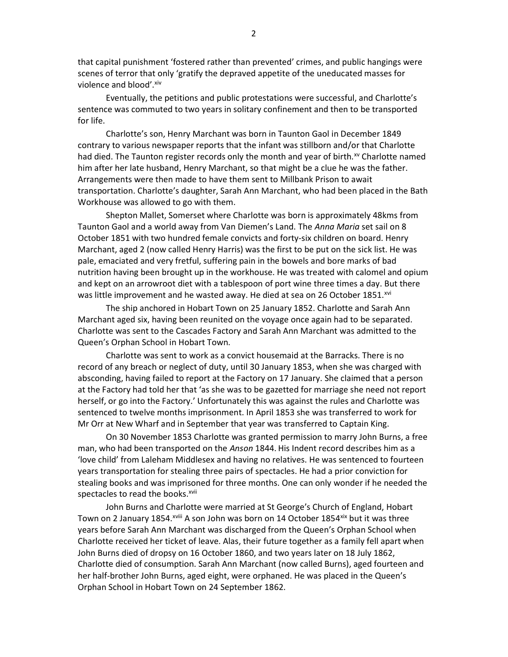that capital punishment 'fostered rather than prevented' crimes, and public hangings were scenes of terror that only 'gratify the depraved appetite of the uneducated masses for violence and blood'. Xiv

 Eventually, the petitions and public protestations were successful, and Charlotte's sentence was commuted to two years in solitary confinement and then to be transported for life.

 Charlotte's son, Henry Marchant was born in Taunton Gaol in December 1849 contrary to various newspaper reports that the infant was stillborn and/or that Charlotte had died. The Taunton register records only the month and year of birth.<sup>xv</sup> Charlotte named him after her late husband, Henry Marchant, so that might be a clue he was the father. Arrangements were then made to have them sent to Millbank Prison to await transportation. Charlotte's daughter, Sarah Ann Marchant, who had been placed in the Bath Workhouse was allowed to go with them.

 Shepton Mallet, Somerset where Charlotte was born is approximately 48kms from Taunton Gaol and a world away from Van Diemen's Land. The Anna Maria set sail on 8 October 1851 with two hundred female convicts and forty-six children on board. Henry Marchant, aged 2 (now called Henry Harris) was the first to be put on the sick list. He was pale, emaciated and very fretful, suffering pain in the bowels and bore marks of bad nutrition having been brought up in the workhouse. He was treated with calomel and opium and kept on an arrowroot diet with a tablespoon of port wine three times a day. But there was little improvement and he wasted away. He died at sea on 26 October 1851.<sup>xvi</sup>

 The ship anchored in Hobart Town on 25 January 1852. Charlotte and Sarah Ann Marchant aged six, having been reunited on the voyage once again had to be separated. Charlotte was sent to the Cascades Factory and Sarah Ann Marchant was admitted to the Queen's Orphan School in Hobart Town.

 Charlotte was sent to work as a convict housemaid at the Barracks. There is no record of any breach or neglect of duty, until 30 January 1853, when she was charged with absconding, having failed to report at the Factory on 17 January. She claimed that a person at the Factory had told her that 'as she was to be gazetted for marriage she need not report herself, or go into the Factory.' Unfortunately this was against the rules and Charlotte was sentenced to twelve months imprisonment. In April 1853 she was transferred to work for Mr Orr at New Wharf and in September that year was transferred to Captain King.

 On 30 November 1853 Charlotte was granted permission to marry John Burns, a free man, who had been transported on the Anson 1844. His Indent record describes him as a 'love child' from Laleham Middlesex and having no relatives. He was sentenced to fourteen years transportation for stealing three pairs of spectacles. He had a prior conviction for stealing books and was imprisoned for three months. One can only wonder if he needed the spectacles to read the books.<sup>xvii</sup>

 John Burns and Charlotte were married at St George's Church of England, Hobart Town on 2 January 1854.<sup>xviii</sup> A son John was born on 14 October 1854<sup>xix</sup> but it was three years before Sarah Ann Marchant was discharged from the Queen's Orphan School when Charlotte received her ticket of leave. Alas, their future together as a family fell apart when John Burns died of dropsy on 16 October 1860, and two years later on 18 July 1862, Charlotte died of consumption. Sarah Ann Marchant (now called Burns), aged fourteen and her half-brother John Burns, aged eight, were orphaned. He was placed in the Queen's Orphan School in Hobart Town on 24 September 1862.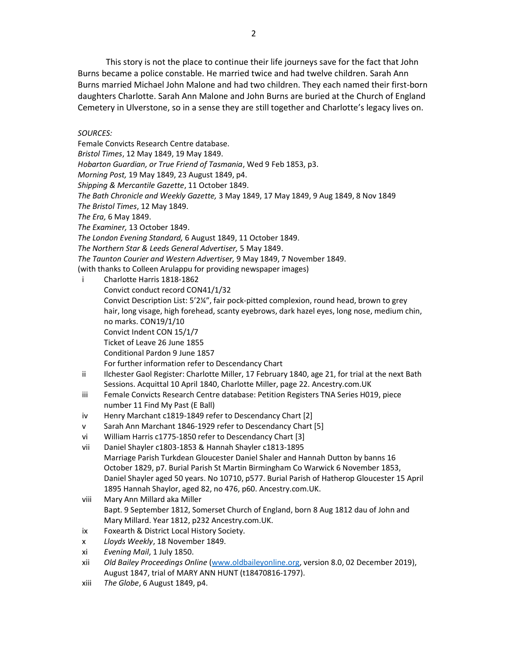This story is not the place to continue their life journeys save for the fact that John Burns became a police constable. He married twice and had twelve children. Sarah Ann Burns married Michael John Malone and had two children. They each named their first-born daughters Charlotte. Sarah Ann Malone and John Burns are buried at the Church of England Cemetery in Ulverstone, so in a sense they are still together and Charlotte's legacy lives on.

# SOURCES:

Female Convicts Research Centre database. Bristol Times, 12 May 1849, 19 May 1849. Hobarton Guardian, or True Friend of Tasmania, Wed 9 Feb 1853, p3. Morning Post, 19 May 1849, 23 August 1849, p4. Shipping & Mercantile Gazette, 11 October 1849. The Bath Chronicle and Weekly Gazette, 3 May 1849, 17 May 1849, 9 Aug 1849, 8 Nov 1849 The Bristol Times, 12 May 1849. The Era, 6 May 1849. The Examiner, 13 October 1849. The London Evening Standard, 6 August 1849, 11 October 1849. The Northern Star & Leeds General Advertiser, 5 May 1849. The Taunton Courier and Western Advertiser, 9 May 1849, 7 November 1849. (with thanks to Colleen Arulappu for providing newspaper images)

- i Charlotte Harris 1818-1862 Convict conduct record CON41/1/32 Convict Description List: 5'2¼", fair pock-pitted complexion, round head, brown to grey hair, long visage, high forehead, scanty eyebrows, dark hazel eyes, long nose, medium chin, no marks. CON19/1/10 Convict Indent CON 15/1/7 Ticket of Leave 26 June 1855 Conditional Pardon 9 June 1857 For further information refer to Descendancy Chart
- ii Ilchester Gaol Register: Charlotte Miller, 17 February 1840, age 21, for trial at the next Bath Sessions. Acquittal 10 April 1840, Charlotte Miller, page 22. Ancestry.com.UK
- iii Female Convicts Research Centre database: Petition Registers TNA Series H019, piece number 11 Find My Past (E Ball)
- iv Henry Marchant c1819-1849 refer to Descendancy Chart [2]
- v Sarah Ann Marchant 1846-1929 refer to Descendancy Chart [5]
- vi William Harris c1775-1850 refer to Descendancy Chart [3]
- vii Daniel Shayler c1803-1853 & Hannah Shayler c1813-1895 Marriage Parish Turkdean Gloucester Daniel Shaler and Hannah Dutton by banns 16 October 1829, p7. Burial Parish St Martin Birmingham Co Warwick 6 November 1853, Daniel Shayler aged 50 years. No 10710, p577. Burial Parish of Hatherop Gloucester 15 April
- 1895 Hannah Shaylor, aged 82, no 476, p60. Ancestry.com.UK. viii Mary Ann Millard aka Miller Bapt. 9 September 1812, Somerset Church of England, born 8 Aug 1812 dau of John and
- Mary Millard. Year 1812, p232 Ancestry.com.UK.
- ix Foxearth & District Local History Society.
- x Lloyds Weekly, 18 November 1849.
- xi Evening Mail, 1 July 1850.
- xii Old Bailey Proceedings Online (www.oldbaileyonline.org, version 8.0, 02 December 2019), August 1847, trial of MARY ANN HUNT (t18470816-1797).
- xiii The Globe, 6 August 1849, p4.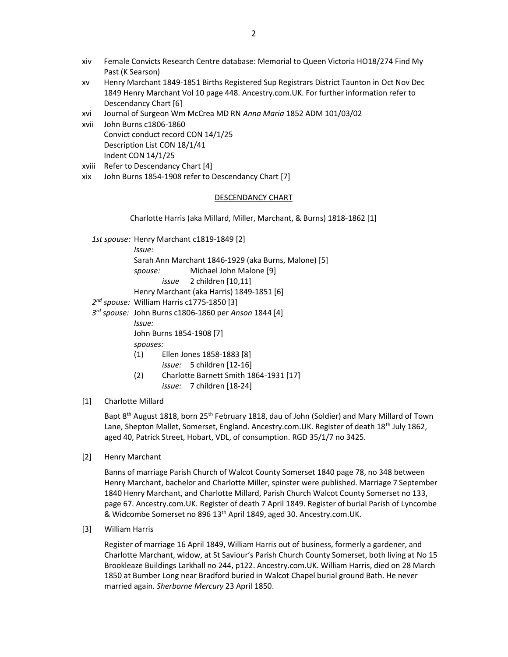- xiv Female Convicts Research Centre database: Memorial to Queen Victoria HO18/274 Find My Past (K Searson)
- xv Henry Marchant 1849-1851 Births Registered Sup Registrars District Taunton in Oct Nov Dec 1849 Henry Marchant Vol 10 page 448. Ancestry.com.UK. For further information refer to Descendancy Chart [6]
- xvi Journal of Surgeon Wm McCrea MD RN Anna Maria 1852 ADM 101/03/02
- xvii John Burns c1806-1860 Convict conduct record CON 14/1/25 Description List CON 18/1/41 Indent CON 14/1/25
- xviii Refer to Descendancy Chart [4]
- xix John Burns 1854-1908 refer to Descendancy Chart [7]

#### DESCENDANCY CHART

Charlotte Harris (aka Millard, Miller, Marchant, & Burns) 1818-1862 [1]

|  | 1st spouse: Henry Marchant c1819-1849 [2]             |                                        |  |
|--|-------------------------------------------------------|----------------------------------------|--|
|  | lssue:                                                |                                        |  |
|  | Sarah Ann Marchant 1846-1929 (aka Burns, Malone) [5]  |                                        |  |
|  | spouse:                                               | Michael John Malone [9]                |  |
|  |                                                       | <i>issue</i> 2 children [10,11]        |  |
|  | Henry Marchant (aka Harris) 1849-1851 [6]             |                                        |  |
|  | 2 <sup>nd</sup> spouse: William Harris c1775-1850 [3] |                                        |  |
|  | 3rd spouse: John Burns c1806-1860 per Anson 1844 [4]  |                                        |  |
|  | lssue:                                                |                                        |  |
|  | John Burns 1854-1908 [7]                              |                                        |  |
|  | spouses:                                              |                                        |  |
|  | (1)                                                   | Ellen Jones 1858-1883 [8]              |  |
|  |                                                       | issue: 5 children [12-16]              |  |
|  | (2)                                                   | Charlotte Barnett Smith 1864-1931 [17] |  |
|  |                                                       | <i>issue:</i> 7 children [18-24]       |  |

## [1] Charlotte Millard

Bapt 8<sup>th</sup> August 1818, born 25<sup>th</sup> February 1818, dau of John (Soldier) and Mary Millard of Town Lane, Shepton Mallet, Somerset, England. Ancestry.com.UK. Register of death 18<sup>th</sup> July 1862, aged 40, Patrick Street, Hobart, VDL, of consumption. RGD 35/1/7 no 3425.

[2] Henry Marchant

Banns of marriage Parish Church of Walcot County Somerset 1840 page 78, no 348 between Henry Marchant, bachelor and Charlotte Miller, spinster were published. Marriage 7 September 1840 Henry Marchant, and Charlotte Millard, Parish Church Walcot County Somerset no 133, page 67. Ancestry.com.UK. Register of death 7 April 1849. Register of burial Parish of Lyncombe & Widcombe Somerset no 896 13th April 1849, aged 30. Ancestry.com.UK.

[3] William Harris

Register of marriage 16 April 1849, William Harris out of business, formerly a gardener, and Charlotte Marchant, widow, at St Saviour's Parish Church County Somerset, both living at No 15 Brookleaze Buildings Larkhall no 244, p122. Ancestry.com.UK. William Harris, died on 28 March 1850 at Bumber Long near Bradford buried in Walcot Chapel burial ground Bath. He never married again. Sherborne Mercury 23 April 1850.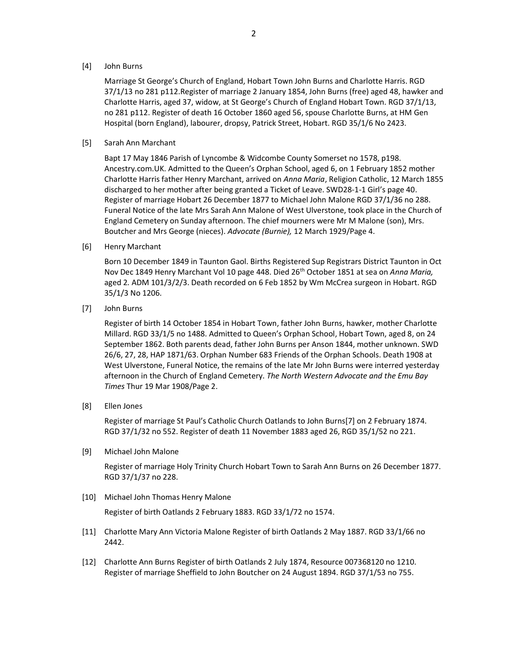### [4] John Burns

Marriage St George's Church of England, Hobart Town John Burns and Charlotte Harris. RGD 37/1/13 no 281 p112.Register of marriage 2 January 1854, John Burns (free) aged 48, hawker and Charlotte Harris, aged 37, widow, at St George's Church of England Hobart Town. RGD 37/1/13, no 281 p112. Register of death 16 October 1860 aged 56, spouse Charlotte Burns, at HM Gen Hospital (born England), labourer, dropsy, Patrick Street, Hobart. RGD 35/1/6 No 2423.

### [5] Sarah Ann Marchant

Bapt 17 May 1846 Parish of Lyncombe & Widcombe County Somerset no 1578, p198. Ancestry.com.UK. Admitted to the Queen's Orphan School, aged 6, on 1 February 1852 mother Charlotte Harris father Henry Marchant, arrived on Anna Maria, Religion Catholic, 12 March 1855 discharged to her mother after being granted a Ticket of Leave. SWD28-1-1 Girl's page 40. Register of marriage Hobart 26 December 1877 to Michael John Malone RGD 37/1/36 no 288. Funeral Notice of the late Mrs Sarah Ann Malone of West Ulverstone, took place in the Church of England Cemetery on Sunday afternoon. The chief mourners were Mr M Malone (son), Mrs. Boutcher and Mrs George (nieces). Advocate (Burnie), 12 March 1929/Page 4.

[6] Henry Marchant

Born 10 December 1849 in Taunton Gaol. Births Registered Sup Registrars District Taunton in Oct Nov Dec 1849 Henry Marchant Vol 10 page 448. Died 26<sup>th</sup> October 1851 at sea on Anna Maria, aged 2. ADM 101/3/2/3. Death recorded on 6 Feb 1852 by Wm McCrea surgeon in Hobart. RGD 35/1/3 No 1206.

[7] John Burns

Register of birth 14 October 1854 in Hobart Town, father John Burns, hawker, mother Charlotte Millard. RGD 33/1/5 no 1488. Admitted to Queen's Orphan School, Hobart Town, aged 8, on 24 September 1862. Both parents dead, father John Burns per Anson 1844, mother unknown. SWD 26/6, 27, 28, HAP 1871/63. Orphan Number 683 Friends of the Orphan Schools. Death 1908 at West Ulverstone, Funeral Notice, the remains of the late Mr John Burns were interred yesterday afternoon in the Church of England Cemetery. The North Western Advocate and the Emu Bay Times Thur 19 Mar 1908/Page 2.

[8] Ellen Jones

Register of marriage St Paul's Catholic Church Oatlands to John Burns[7] on 2 February 1874. RGD 37/1/32 no 552. Register of death 11 November 1883 aged 26, RGD 35/1/52 no 221.

[9] Michael John Malone

Register of marriage Holy Trinity Church Hobart Town to Sarah Ann Burns on 26 December 1877. RGD 37/1/37 no 228.

[10] Michael John Thomas Henry Malone

Register of birth Oatlands 2 February 1883. RGD 33/1/72 no 1574.

- [11] Charlotte Mary Ann Victoria Malone Register of birth Oatlands 2 May 1887. RGD 33/1/66 no 2442.
- [12] Charlotte Ann Burns Register of birth Oatlands 2 July 1874, Resource 007368120 no 1210. Register of marriage Sheffield to John Boutcher on 24 August 1894. RGD 37/1/53 no 755.